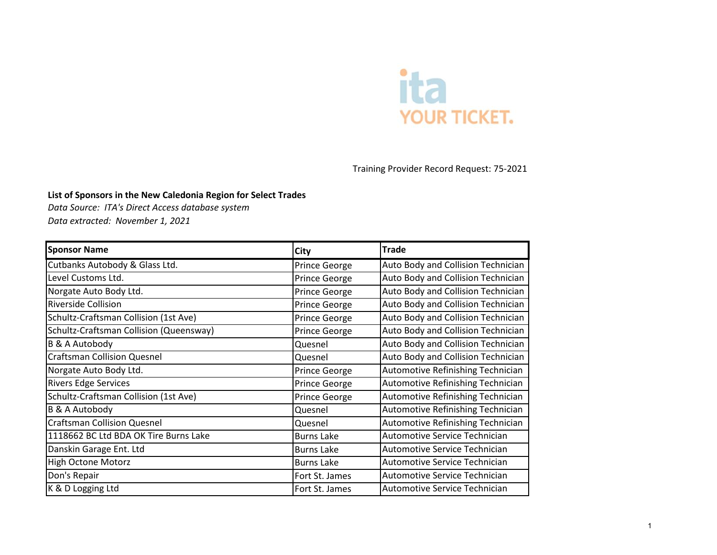

Training Provider Record Request: 75-2021

## **List of Sponsors in the New Caledonia Region for Select Trades**

*Data Source: ITA's Direct Access database system Data extracted: November 1, 2021*

| <b>Sponsor Name</b>                     | City              | <b>Trade</b>                       |
|-----------------------------------------|-------------------|------------------------------------|
| Cutbanks Autobody & Glass Ltd.          | Prince George     | Auto Body and Collision Technician |
| Level Customs Ltd.                      | Prince George     | Auto Body and Collision Technician |
| Norgate Auto Body Ltd.                  | Prince George     | Auto Body and Collision Technician |
| Riverside Collision                     | Prince George     | Auto Body and Collision Technician |
| Schultz-Craftsman Collision (1st Ave)   | Prince George     | Auto Body and Collision Technician |
| Schultz-Craftsman Collision (Queensway) | Prince George     | Auto Body and Collision Technician |
| <b>B &amp; A Autobody</b>               | Quesnel           | Auto Body and Collision Technician |
| <b>Craftsman Collision Quesnel</b>      | Quesnel           | Auto Body and Collision Technician |
| Norgate Auto Body Ltd.                  | Prince George     | Automotive Refinishing Technician  |
| <b>Rivers Edge Services</b>             | Prince George     | Automotive Refinishing Technician  |
| Schultz-Craftsman Collision (1st Ave)   | Prince George     | Automotive Refinishing Technician  |
| <b>B &amp; A Autobody</b>               | Quesnel           | Automotive Refinishing Technician  |
| <b>Craftsman Collision Quesnel</b>      | Quesnel           | Automotive Refinishing Technician  |
| 1118662 BC Ltd BDA OK Tire Burns Lake   | <b>Burns Lake</b> | Automotive Service Technician      |
| Danskin Garage Ent. Ltd                 | <b>Burns Lake</b> | Automotive Service Technician      |
| <b>High Octone Motorz</b>               | <b>Burns Lake</b> | Automotive Service Technician      |
| Don's Repair                            | Fort St. James    | Automotive Service Technician      |
| K & D Logging Ltd                       | Fort St. James    | Automotive Service Technician      |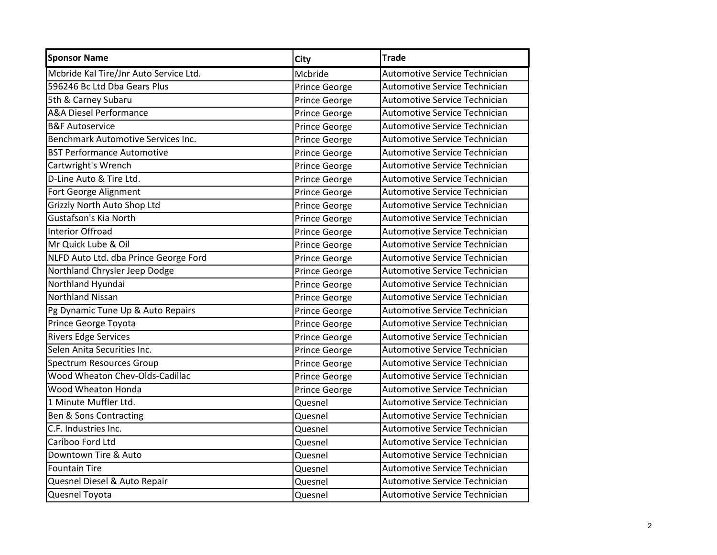| <b>Sponsor Name</b>                    | <b>City</b>   | Trade                         |
|----------------------------------------|---------------|-------------------------------|
| Mcbride Kal Tire/Jnr Auto Service Ltd. | Mcbride       | Automotive Service Technician |
| 596246 Bc Ltd Dba Gears Plus           | Prince George | Automotive Service Technician |
| 5th & Carney Subaru                    | Prince George | Automotive Service Technician |
| <b>A&amp;A Diesel Performance</b>      | Prince George | Automotive Service Technician |
| <b>B&amp;F Autoservice</b>             | Prince George | Automotive Service Technician |
| Benchmark Automotive Services Inc.     | Prince George | Automotive Service Technician |
| <b>BST Performance Automotive</b>      | Prince George | Automotive Service Technician |
| Cartwright's Wrench                    | Prince George | Automotive Service Technician |
| D-Line Auto & Tire Ltd.                | Prince George | Automotive Service Technician |
| Fort George Alignment                  | Prince George | Automotive Service Technician |
| Grizzly North Auto Shop Ltd            | Prince George | Automotive Service Technician |
| <b>Gustafson's Kia North</b>           | Prince George | Automotive Service Technician |
| <b>Interior Offroad</b>                | Prince George | Automotive Service Technician |
| Mr Quick Lube & Oil                    | Prince George | Automotive Service Technician |
| NLFD Auto Ltd. dba Prince George Ford  | Prince George | Automotive Service Technician |
| Northland Chrysler Jeep Dodge          | Prince George | Automotive Service Technician |
| Northland Hyundai                      | Prince George | Automotive Service Technician |
| <b>Northland Nissan</b>                | Prince George | Automotive Service Technician |
| Pg Dynamic Tune Up & Auto Repairs      | Prince George | Automotive Service Technician |
| Prince George Toyota                   | Prince George | Automotive Service Technician |
| <b>Rivers Edge Services</b>            | Prince George | Automotive Service Technician |
| Selen Anita Securities Inc.            | Prince George | Automotive Service Technician |
| <b>Spectrum Resources Group</b>        | Prince George | Automotive Service Technician |
| Wood Wheaton Chev-Olds-Cadillac        | Prince George | Automotive Service Technician |
| Wood Wheaton Honda                     | Prince George | Automotive Service Technician |
| 1 Minute Muffler Ltd.                  | Quesnel       | Automotive Service Technician |
| Ben & Sons Contracting                 | Quesnel       | Automotive Service Technician |
| C.F. Industries Inc.                   | Quesnel       | Automotive Service Technician |
| Cariboo Ford Ltd                       | Quesnel       | Automotive Service Technician |
| Downtown Tire & Auto                   | Quesnel       | Automotive Service Technician |
| <b>Fountain Tire</b>                   | Quesnel       | Automotive Service Technician |
| Quesnel Diesel & Auto Repair           | Quesnel       | Automotive Service Technician |
| Quesnel Toyota                         | Quesnel       | Automotive Service Technician |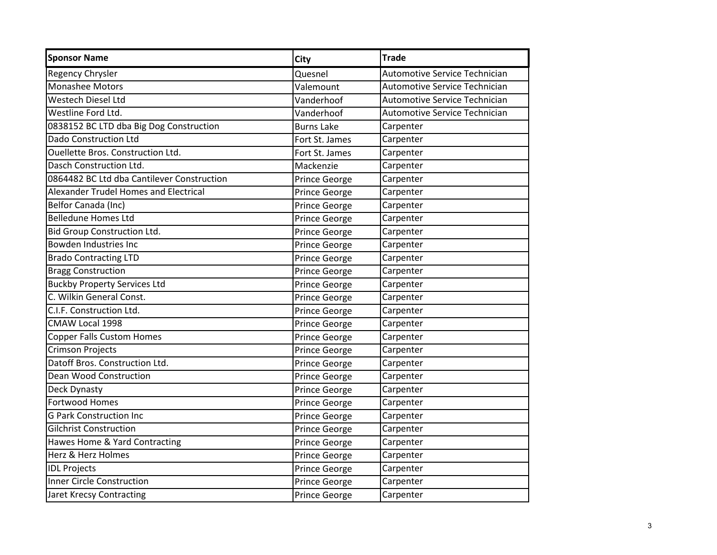| Regency Chrysler<br>Quesnel<br><b>Monashee Motors</b><br>Valemount<br><b>Westech Diesel Ltd</b><br>Vanderhoof<br>Westline Ford Ltd.<br>Vanderhoof<br>0838152 BC LTD dba Big Dog Construction<br><b>Burns Lake</b><br><b>Dado Construction Ltd</b><br>Fort St. James<br><b>Ouellette Bros. Construction Ltd.</b><br>Fort St. James<br>Dasch Construction Ltd.<br>Mackenzie<br>0864482 BC Ltd dba Cantilever Construction<br>Prince George<br><b>Alexander Trudel Homes and Electrical</b><br>Prince George<br>Belfor Canada (Inc)<br>Prince George<br><b>Belledune Homes Ltd</b><br>Prince George<br><b>Bid Group Construction Ltd.</b><br>Prince George<br>Bowden Industries Inc<br>Prince George<br><b>Brado Contracting LTD</b><br>Prince George<br><b>Bragg Construction</b><br>Prince George<br><b>Buckby Property Services Ltd</b><br>Prince George<br>C. Wilkin General Const.<br>Prince George<br>C.I.F. Construction Ltd.<br>Prince George<br>CMAW Local 1998<br>Prince George<br><b>Copper Falls Custom Homes</b><br>Prince George<br><b>Crimson Projects</b><br>Prince George<br>Datoff Bros. Construction Ltd.<br>Prince George<br><b>Dean Wood Construction</b><br>Prince George<br>Prince George<br>Deck Dynasty | <b>Automotive Service Technician</b><br>Automotive Service Technician<br>Automotive Service Technician<br>Automotive Service Technician<br>Carpenter<br>Carpenter<br>Carpenter<br>Carpenter<br>Carpenter<br>Carpenter<br>Carpenter<br>Carpenter<br>Carpenter<br>Carpenter<br>Carpenter |
|-------------------------------------------------------------------------------------------------------------------------------------------------------------------------------------------------------------------------------------------------------------------------------------------------------------------------------------------------------------------------------------------------------------------------------------------------------------------------------------------------------------------------------------------------------------------------------------------------------------------------------------------------------------------------------------------------------------------------------------------------------------------------------------------------------------------------------------------------------------------------------------------------------------------------------------------------------------------------------------------------------------------------------------------------------------------------------------------------------------------------------------------------------------------------------------------------------------------------------|----------------------------------------------------------------------------------------------------------------------------------------------------------------------------------------------------------------------------------------------------------------------------------------|
|                                                                                                                                                                                                                                                                                                                                                                                                                                                                                                                                                                                                                                                                                                                                                                                                                                                                                                                                                                                                                                                                                                                                                                                                                               |                                                                                                                                                                                                                                                                                        |
|                                                                                                                                                                                                                                                                                                                                                                                                                                                                                                                                                                                                                                                                                                                                                                                                                                                                                                                                                                                                                                                                                                                                                                                                                               |                                                                                                                                                                                                                                                                                        |
|                                                                                                                                                                                                                                                                                                                                                                                                                                                                                                                                                                                                                                                                                                                                                                                                                                                                                                                                                                                                                                                                                                                                                                                                                               |                                                                                                                                                                                                                                                                                        |
|                                                                                                                                                                                                                                                                                                                                                                                                                                                                                                                                                                                                                                                                                                                                                                                                                                                                                                                                                                                                                                                                                                                                                                                                                               |                                                                                                                                                                                                                                                                                        |
|                                                                                                                                                                                                                                                                                                                                                                                                                                                                                                                                                                                                                                                                                                                                                                                                                                                                                                                                                                                                                                                                                                                                                                                                                               |                                                                                                                                                                                                                                                                                        |
|                                                                                                                                                                                                                                                                                                                                                                                                                                                                                                                                                                                                                                                                                                                                                                                                                                                                                                                                                                                                                                                                                                                                                                                                                               |                                                                                                                                                                                                                                                                                        |
|                                                                                                                                                                                                                                                                                                                                                                                                                                                                                                                                                                                                                                                                                                                                                                                                                                                                                                                                                                                                                                                                                                                                                                                                                               |                                                                                                                                                                                                                                                                                        |
|                                                                                                                                                                                                                                                                                                                                                                                                                                                                                                                                                                                                                                                                                                                                                                                                                                                                                                                                                                                                                                                                                                                                                                                                                               |                                                                                                                                                                                                                                                                                        |
|                                                                                                                                                                                                                                                                                                                                                                                                                                                                                                                                                                                                                                                                                                                                                                                                                                                                                                                                                                                                                                                                                                                                                                                                                               |                                                                                                                                                                                                                                                                                        |
|                                                                                                                                                                                                                                                                                                                                                                                                                                                                                                                                                                                                                                                                                                                                                                                                                                                                                                                                                                                                                                                                                                                                                                                                                               |                                                                                                                                                                                                                                                                                        |
|                                                                                                                                                                                                                                                                                                                                                                                                                                                                                                                                                                                                                                                                                                                                                                                                                                                                                                                                                                                                                                                                                                                                                                                                                               |                                                                                                                                                                                                                                                                                        |
|                                                                                                                                                                                                                                                                                                                                                                                                                                                                                                                                                                                                                                                                                                                                                                                                                                                                                                                                                                                                                                                                                                                                                                                                                               |                                                                                                                                                                                                                                                                                        |
|                                                                                                                                                                                                                                                                                                                                                                                                                                                                                                                                                                                                                                                                                                                                                                                                                                                                                                                                                                                                                                                                                                                                                                                                                               |                                                                                                                                                                                                                                                                                        |
|                                                                                                                                                                                                                                                                                                                                                                                                                                                                                                                                                                                                                                                                                                                                                                                                                                                                                                                                                                                                                                                                                                                                                                                                                               |                                                                                                                                                                                                                                                                                        |
|                                                                                                                                                                                                                                                                                                                                                                                                                                                                                                                                                                                                                                                                                                                                                                                                                                                                                                                                                                                                                                                                                                                                                                                                                               |                                                                                                                                                                                                                                                                                        |
|                                                                                                                                                                                                                                                                                                                                                                                                                                                                                                                                                                                                                                                                                                                                                                                                                                                                                                                                                                                                                                                                                                                                                                                                                               | Carpenter                                                                                                                                                                                                                                                                              |
|                                                                                                                                                                                                                                                                                                                                                                                                                                                                                                                                                                                                                                                                                                                                                                                                                                                                                                                                                                                                                                                                                                                                                                                                                               | Carpenter                                                                                                                                                                                                                                                                              |
|                                                                                                                                                                                                                                                                                                                                                                                                                                                                                                                                                                                                                                                                                                                                                                                                                                                                                                                                                                                                                                                                                                                                                                                                                               | Carpenter                                                                                                                                                                                                                                                                              |
|                                                                                                                                                                                                                                                                                                                                                                                                                                                                                                                                                                                                                                                                                                                                                                                                                                                                                                                                                                                                                                                                                                                                                                                                                               | Carpenter                                                                                                                                                                                                                                                                              |
|                                                                                                                                                                                                                                                                                                                                                                                                                                                                                                                                                                                                                                                                                                                                                                                                                                                                                                                                                                                                                                                                                                                                                                                                                               | Carpenter                                                                                                                                                                                                                                                                              |
|                                                                                                                                                                                                                                                                                                                                                                                                                                                                                                                                                                                                                                                                                                                                                                                                                                                                                                                                                                                                                                                                                                                                                                                                                               | Carpenter                                                                                                                                                                                                                                                                              |
|                                                                                                                                                                                                                                                                                                                                                                                                                                                                                                                                                                                                                                                                                                                                                                                                                                                                                                                                                                                                                                                                                                                                                                                                                               | Carpenter                                                                                                                                                                                                                                                                              |
|                                                                                                                                                                                                                                                                                                                                                                                                                                                                                                                                                                                                                                                                                                                                                                                                                                                                                                                                                                                                                                                                                                                                                                                                                               | Carpenter                                                                                                                                                                                                                                                                              |
|                                                                                                                                                                                                                                                                                                                                                                                                                                                                                                                                                                                                                                                                                                                                                                                                                                                                                                                                                                                                                                                                                                                                                                                                                               | Carpenter                                                                                                                                                                                                                                                                              |
|                                                                                                                                                                                                                                                                                                                                                                                                                                                                                                                                                                                                                                                                                                                                                                                                                                                                                                                                                                                                                                                                                                                                                                                                                               | Carpenter                                                                                                                                                                                                                                                                              |
| <b>Fortwood Homes</b><br>Prince George                                                                                                                                                                                                                                                                                                                                                                                                                                                                                                                                                                                                                                                                                                                                                                                                                                                                                                                                                                                                                                                                                                                                                                                        | Carpenter                                                                                                                                                                                                                                                                              |
| <b>G Park Construction Inc</b><br>Prince George                                                                                                                                                                                                                                                                                                                                                                                                                                                                                                                                                                                                                                                                                                                                                                                                                                                                                                                                                                                                                                                                                                                                                                               | Carpenter                                                                                                                                                                                                                                                                              |
| <b>Gilchrist Construction</b><br>Prince George                                                                                                                                                                                                                                                                                                                                                                                                                                                                                                                                                                                                                                                                                                                                                                                                                                                                                                                                                                                                                                                                                                                                                                                | Carpenter                                                                                                                                                                                                                                                                              |
| Hawes Home & Yard Contracting<br>Prince George                                                                                                                                                                                                                                                                                                                                                                                                                                                                                                                                                                                                                                                                                                                                                                                                                                                                                                                                                                                                                                                                                                                                                                                | Carpenter                                                                                                                                                                                                                                                                              |
| Herz & Herz Holmes<br>Prince George                                                                                                                                                                                                                                                                                                                                                                                                                                                                                                                                                                                                                                                                                                                                                                                                                                                                                                                                                                                                                                                                                                                                                                                           | Carpenter                                                                                                                                                                                                                                                                              |
| <b>IDL Projects</b><br>Prince George                                                                                                                                                                                                                                                                                                                                                                                                                                                                                                                                                                                                                                                                                                                                                                                                                                                                                                                                                                                                                                                                                                                                                                                          |                                                                                                                                                                                                                                                                                        |
| <b>Inner Circle Construction</b><br>Prince George                                                                                                                                                                                                                                                                                                                                                                                                                                                                                                                                                                                                                                                                                                                                                                                                                                                                                                                                                                                                                                                                                                                                                                             | Carpenter                                                                                                                                                                                                                                                                              |
| <b>Jaret Krecsy Contracting</b><br>Prince George<br>Carpenter                                                                                                                                                                                                                                                                                                                                                                                                                                                                                                                                                                                                                                                                                                                                                                                                                                                                                                                                                                                                                                                                                                                                                                 | Carpenter                                                                                                                                                                                                                                                                              |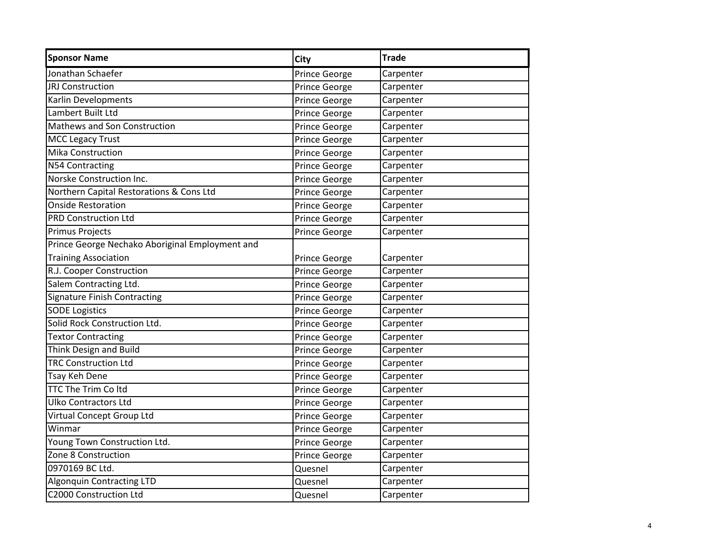| <b>Sponsor Name</b>                             | City          | <b>Trade</b> |
|-------------------------------------------------|---------------|--------------|
| Jonathan Schaefer                               | Prince George | Carpenter    |
| <b>JRJ Construction</b>                         | Prince George | Carpenter    |
| Karlin Developments                             | Prince George | Carpenter    |
| Lambert Built Ltd                               | Prince George | Carpenter    |
| Mathews and Son Construction                    | Prince George | Carpenter    |
| <b>MCC Legacy Trust</b>                         | Prince George | Carpenter    |
| <b>Mika Construction</b>                        | Prince George | Carpenter    |
| N54 Contracting                                 | Prince George | Carpenter    |
| Norske Construction Inc.                        | Prince George | Carpenter    |
| Northern Capital Restorations & Cons Ltd        | Prince George | Carpenter    |
| <b>Onside Restoration</b>                       | Prince George | Carpenter    |
| <b>PRD Construction Ltd</b>                     | Prince George | Carpenter    |
| <b>Primus Projects</b>                          | Prince George | Carpenter    |
| Prince George Nechako Aboriginal Employment and |               |              |
| <b>Training Association</b>                     | Prince George | Carpenter    |
| R.J. Cooper Construction                        | Prince George | Carpenter    |
| Salem Contracting Ltd.                          | Prince George | Carpenter    |
| <b>Signature Finish Contracting</b>             | Prince George | Carpenter    |
| <b>SODE Logistics</b>                           | Prince George | Carpenter    |
| Solid Rock Construction Ltd.                    | Prince George | Carpenter    |
| <b>Textor Contracting</b>                       | Prince George | Carpenter    |
| Think Design and Build                          | Prince George | Carpenter    |
| <b>TRC Construction Ltd</b>                     | Prince George | Carpenter    |
| Tsay Keh Dene                                   | Prince George | Carpenter    |
| <b>TTC The Trim Coltd</b>                       | Prince George | Carpenter    |
| <b>Ulko Contractors Ltd</b>                     | Prince George | Carpenter    |
| Virtual Concept Group Ltd                       | Prince George | Carpenter    |
| Winmar                                          | Prince George | Carpenter    |
| Young Town Construction Ltd.                    | Prince George | Carpenter    |
| Zone 8 Construction                             | Prince George | Carpenter    |
| 0970169 BC Ltd.                                 | Quesnel       | Carpenter    |
| <b>Algonquin Contracting LTD</b>                | Quesnel       | Carpenter    |
| C2000 Construction Ltd                          | Quesnel       | Carpenter    |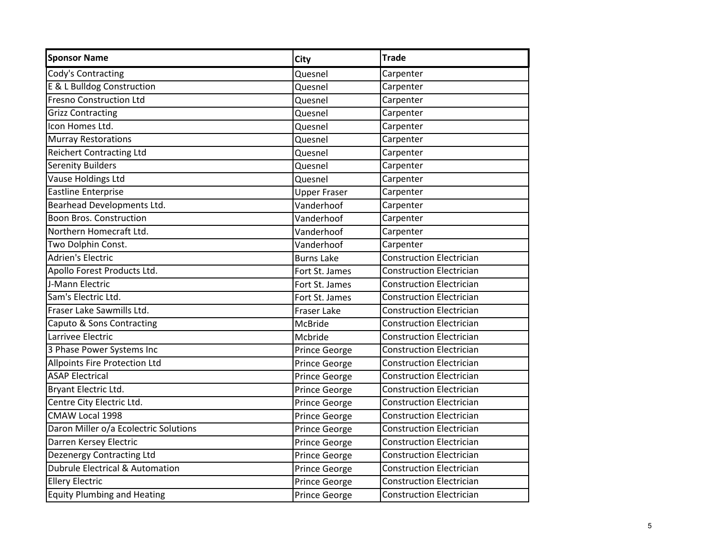| <b>Sponsor Name</b>                        | <b>City</b>          | <b>Trade</b>                    |
|--------------------------------------------|----------------------|---------------------------------|
| Cody's Contracting                         | Quesnel              | Carpenter                       |
| E & L Bulldog Construction                 | Quesnel              | Carpenter                       |
| <b>Fresno Construction Ltd</b>             | Quesnel              | Carpenter                       |
| <b>Grizz Contracting</b>                   | Quesnel              | Carpenter                       |
| Icon Homes Ltd.                            | Quesnel              | Carpenter                       |
| Murray Restorations                        | Quesnel              | Carpenter                       |
| <b>Reichert Contracting Ltd</b>            | Quesnel              | Carpenter                       |
| <b>Serenity Builders</b>                   | Quesnel              | Carpenter                       |
| Vause Holdings Ltd                         | Quesnel              | Carpenter                       |
| <b>Eastline Enterprise</b>                 | <b>Upper Fraser</b>  | Carpenter                       |
| Bearhead Developments Ltd.                 | Vanderhoof           | Carpenter                       |
| <b>Boon Bros. Construction</b>             | Vanderhoof           | Carpenter                       |
| Northern Homecraft Ltd.                    | Vanderhoof           | Carpenter                       |
| Two Dolphin Const.                         | Vanderhoof           | Carpenter                       |
| Adrien's Electric                          | <b>Burns Lake</b>    | <b>Construction Electrician</b> |
| Apollo Forest Products Ltd.                | Fort St. James       | <b>Construction Electrician</b> |
| J-Mann Electric                            | Fort St. James       | <b>Construction Electrician</b> |
| Sam's Electric Ltd.                        | Fort St. James       | <b>Construction Electrician</b> |
| Fraser Lake Sawmills Ltd.                  | <b>Fraser Lake</b>   | <b>Construction Electrician</b> |
| Caputo & Sons Contracting                  | <b>McBride</b>       | <b>Construction Electrician</b> |
| Larrivee Electric                          | Mcbride              | <b>Construction Electrician</b> |
| 3 Phase Power Systems Inc                  | Prince George        | <b>Construction Electrician</b> |
| <b>Allpoints Fire Protection Ltd</b>       | Prince George        | <b>Construction Electrician</b> |
| <b>ASAP Electrical</b>                     | Prince George        | <b>Construction Electrician</b> |
| Bryant Electric Ltd.                       | Prince George        | <b>Construction Electrician</b> |
| Centre City Electric Ltd.                  | Prince George        | <b>Construction Electrician</b> |
| CMAW Local 1998                            | Prince George        | <b>Construction Electrician</b> |
| Daron Miller o/a Ecolectric Solutions      | Prince George        | <b>Construction Electrician</b> |
| Darren Kersey Electric                     | Prince George        | <b>Construction Electrician</b> |
| <b>Dezenergy Contracting Ltd</b>           | Prince George        | <b>Construction Electrician</b> |
| <b>Dubrule Electrical &amp; Automation</b> | Prince George        | <b>Construction Electrician</b> |
| <b>Ellery Electric</b>                     | Prince George        | <b>Construction Electrician</b> |
| <b>Equity Plumbing and Heating</b>         | <b>Prince George</b> | Construction Electrician        |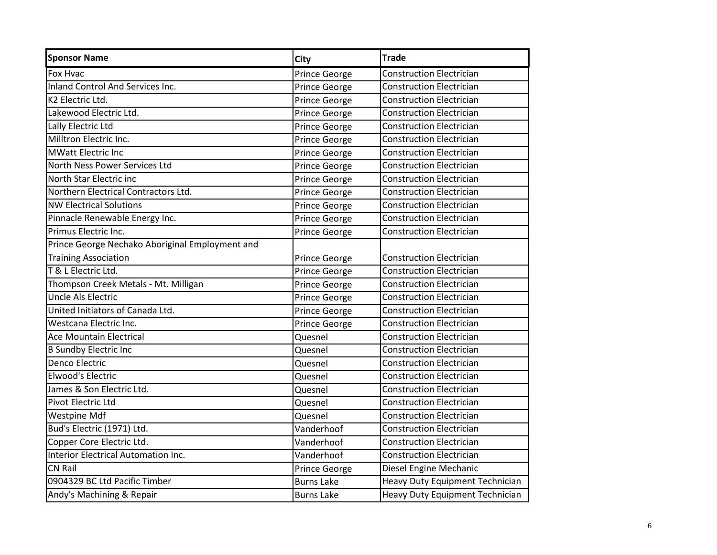| <b>Sponsor Name</b>                             | <b>City</b>       | <b>Trade</b>                    |
|-------------------------------------------------|-------------------|---------------------------------|
| Fox Hvac                                        | Prince George     | <b>Construction Electrician</b> |
| Inland Control And Services Inc.                | Prince George     | <b>Construction Electrician</b> |
| K <sub>2</sub> Electric Ltd.                    | Prince George     | <b>Construction Electrician</b> |
| Lakewood Electric Ltd.                          | Prince George     | <b>Construction Electrician</b> |
| Lally Electric Ltd                              | Prince George     | <b>Construction Electrician</b> |
| Milltron Electric Inc.                          | Prince George     | <b>Construction Electrician</b> |
| <b>MWatt Electric Inc</b>                       | Prince George     | <b>Construction Electrician</b> |
| North Ness Power Services Ltd                   | Prince George     | <b>Construction Electrician</b> |
| North Star Electric inc                         | Prince George     | <b>Construction Electrician</b> |
| Northern Electrical Contractors Ltd.            | Prince George     | <b>Construction Electrician</b> |
| <b>NW Electrical Solutions</b>                  | Prince George     | <b>Construction Electrician</b> |
| Pinnacle Renewable Energy Inc.                  | Prince George     | <b>Construction Electrician</b> |
| Primus Electric Inc.                            | Prince George     | <b>Construction Electrician</b> |
| Prince George Nechako Aboriginal Employment and |                   |                                 |
| <b>Training Association</b>                     | Prince George     | <b>Construction Electrician</b> |
| T & L Electric Ltd.                             | Prince George     | <b>Construction Electrician</b> |
| Thompson Creek Metals - Mt. Milligan            | Prince George     | <b>Construction Electrician</b> |
| Uncle Als Electric                              | Prince George     | <b>Construction Electrician</b> |
| United Initiators of Canada Ltd.                | Prince George     | <b>Construction Electrician</b> |
| Westcana Electric Inc.                          | Prince George     | <b>Construction Electrician</b> |
| Ace Mountain Electrical                         | Quesnel           | <b>Construction Electrician</b> |
| <b>B Sundby Electric Inc</b>                    | Quesnel           | <b>Construction Electrician</b> |
| Denco Electric                                  | Quesnel           | <b>Construction Electrician</b> |
| Elwood's Electric                               | Quesnel           | <b>Construction Electrician</b> |
| James & Son Electric Ltd.                       | Quesnel           | <b>Construction Electrician</b> |
| Pivot Electric Ltd                              | Quesnel           | <b>Construction Electrician</b> |
| <b>Westpine Mdf</b>                             | Quesnel           | <b>Construction Electrician</b> |
| Bud's Electric (1971) Ltd.                      | Vanderhoof        | <b>Construction Electrician</b> |
| Copper Core Electric Ltd.                       | Vanderhoof        | <b>Construction Electrician</b> |
| Interior Electrical Automation Inc.             | Vanderhoof        | <b>Construction Electrician</b> |
| <b>CN Rail</b>                                  | Prince George     | Diesel Engine Mechanic          |
| 0904329 BC Ltd Pacific Timber                   | <b>Burns Lake</b> | Heavy Duty Equipment Technician |
| Andy's Machining & Repair                       | <b>Burns Lake</b> | Heavy Duty Equipment Technician |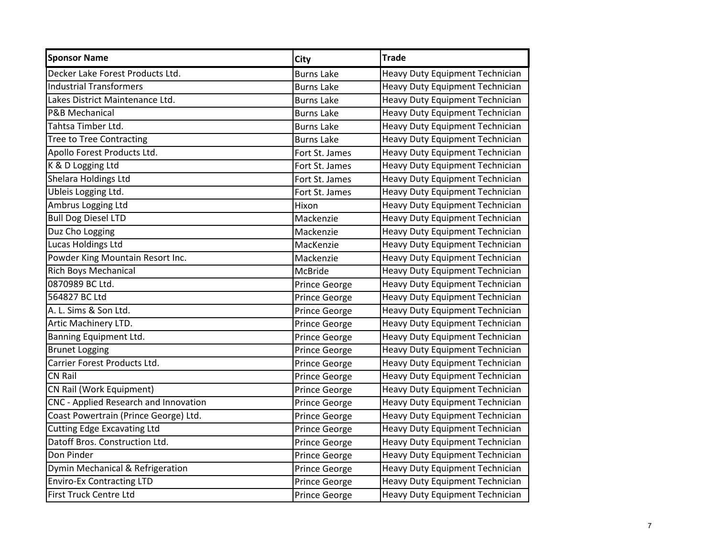| <b>Sponsor Name</b>                   | City              | <b>Trade</b>                           |
|---------------------------------------|-------------------|----------------------------------------|
| Decker Lake Forest Products Ltd.      | <b>Burns Lake</b> | Heavy Duty Equipment Technician        |
| <b>Industrial Transformers</b>        | <b>Burns Lake</b> | Heavy Duty Equipment Technician        |
| Lakes District Maintenance Ltd.       | <b>Burns Lake</b> | Heavy Duty Equipment Technician        |
| P&B Mechanical                        | <b>Burns Lake</b> | Heavy Duty Equipment Technician        |
| Tahtsa Timber Ltd.                    | <b>Burns Lake</b> | Heavy Duty Equipment Technician        |
| <b>Tree to Tree Contracting</b>       | <b>Burns Lake</b> | Heavy Duty Equipment Technician        |
| Apollo Forest Products Ltd.           | Fort St. James    | Heavy Duty Equipment Technician        |
| K & D Logging Ltd                     | Fort St. James    | Heavy Duty Equipment Technician        |
| Shelara Holdings Ltd                  | Fort St. James    | Heavy Duty Equipment Technician        |
| <b>Ubleis Logging Ltd.</b>            | Fort St. James    | Heavy Duty Equipment Technician        |
| Ambrus Logging Ltd                    | Hixon             | Heavy Duty Equipment Technician        |
| <b>Bull Dog Diesel LTD</b>            | Mackenzie         | Heavy Duty Equipment Technician        |
| Duz Cho Logging                       | Mackenzie         | Heavy Duty Equipment Technician        |
| <b>Lucas Holdings Ltd</b>             | MacKenzie         | Heavy Duty Equipment Technician        |
| Powder King Mountain Resort Inc.      | Mackenzie         | Heavy Duty Equipment Technician        |
| <b>Rich Boys Mechanical</b>           | <b>McBride</b>    | Heavy Duty Equipment Technician        |
| 0870989 BC Ltd.                       | Prince George     | Heavy Duty Equipment Technician        |
| 564827 BC Ltd                         | Prince George     | Heavy Duty Equipment Technician        |
| A. L. Sims & Son Ltd.                 | Prince George     | Heavy Duty Equipment Technician        |
| Artic Machinery LTD.                  | Prince George     | Heavy Duty Equipment Technician        |
| Banning Equipment Ltd.                | Prince George     | Heavy Duty Equipment Technician        |
| <b>Brunet Logging</b>                 | Prince George     | Heavy Duty Equipment Technician        |
| Carrier Forest Products Ltd.          | Prince George     | Heavy Duty Equipment Technician        |
| <b>CN Rail</b>                        | Prince George     | Heavy Duty Equipment Technician        |
| CN Rail (Work Equipment)              | Prince George     | Heavy Duty Equipment Technician        |
| CNC - Applied Research and Innovation | Prince George     | Heavy Duty Equipment Technician        |
| Coast Powertrain (Prince George) Ltd. | Prince George     | Heavy Duty Equipment Technician        |
| <b>Cutting Edge Excavating Ltd</b>    | Prince George     | Heavy Duty Equipment Technician        |
| Datoff Bros. Construction Ltd.        | Prince George     | <b>Heavy Duty Equipment Technician</b> |
| Don Pinder                            | Prince George     | Heavy Duty Equipment Technician        |
| Dymin Mechanical & Refrigeration      | Prince George     | Heavy Duty Equipment Technician        |
| <b>Enviro-Ex Contracting LTD</b>      | Prince George     | Heavy Duty Equipment Technician        |
| First Truck Centre Ltd                | Prince George     | <b>Heavy Duty Equipment Technician</b> |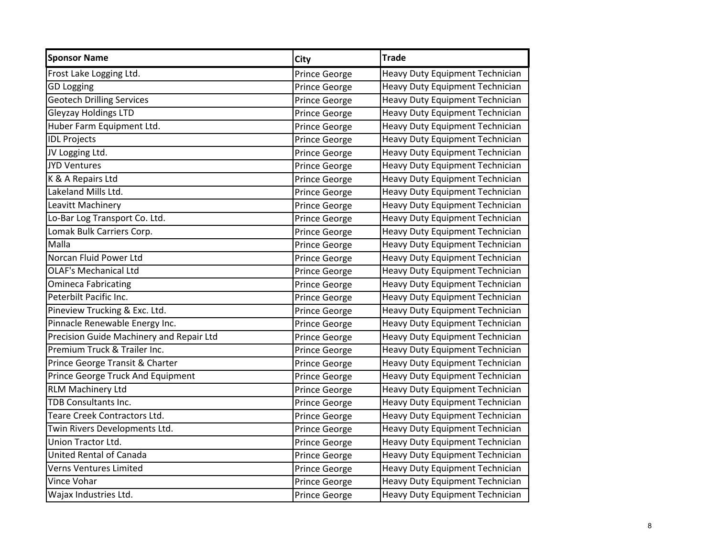| <b>Sponsor Name</b>                      | <b>City</b>          | <b>Trade</b>                           |
|------------------------------------------|----------------------|----------------------------------------|
| Frost Lake Logging Ltd.                  | <b>Prince George</b> | Heavy Duty Equipment Technician        |
| <b>GD Logging</b>                        | Prince George        | Heavy Duty Equipment Technician        |
| <b>Geotech Drilling Services</b>         | Prince George        | Heavy Duty Equipment Technician        |
| <b>Gleyzay Holdings LTD</b>              | Prince George        | Heavy Duty Equipment Technician        |
| Huber Farm Equipment Ltd.                | Prince George        | Heavy Duty Equipment Technician        |
| <b>IDL Projects</b>                      | Prince George        | Heavy Duty Equipment Technician        |
| JV Logging Ltd.                          | Prince George        | Heavy Duty Equipment Technician        |
| <b>JYD Ventures</b>                      | Prince George        | Heavy Duty Equipment Technician        |
| K & A Repairs Ltd                        | Prince George        | Heavy Duty Equipment Technician        |
| Lakeland Mills Ltd.                      | Prince George        | Heavy Duty Equipment Technician        |
| Leavitt Machinery                        | Prince George        | Heavy Duty Equipment Technician        |
| Lo-Bar Log Transport Co. Ltd.            | Prince George        | Heavy Duty Equipment Technician        |
| Lomak Bulk Carriers Corp.                | Prince George        | Heavy Duty Equipment Technician        |
| Malla                                    | Prince George        | Heavy Duty Equipment Technician        |
| Norcan Fluid Power Ltd                   | Prince George        | Heavy Duty Equipment Technician        |
| <b>OLAF's Mechanical Ltd</b>             | Prince George        | Heavy Duty Equipment Technician        |
| <b>Omineca Fabricating</b>               | Prince George        | Heavy Duty Equipment Technician        |
| Peterbilt Pacific Inc.                   | Prince George        | Heavy Duty Equipment Technician        |
| Pineview Trucking & Exc. Ltd.            | Prince George        | Heavy Duty Equipment Technician        |
| Pinnacle Renewable Energy Inc.           | Prince George        | Heavy Duty Equipment Technician        |
| Precision Guide Machinery and Repair Ltd | Prince George        | Heavy Duty Equipment Technician        |
| Premium Truck & Trailer Inc.             | Prince George        | Heavy Duty Equipment Technician        |
| Prince George Transit & Charter          | Prince George        | Heavy Duty Equipment Technician        |
| Prince George Truck And Equipment        | Prince George        | Heavy Duty Equipment Technician        |
| <b>RLM Machinery Ltd</b>                 | Prince George        | Heavy Duty Equipment Technician        |
| TDB Consultants Inc.                     | Prince George        | Heavy Duty Equipment Technician        |
| Teare Creek Contractors Ltd.             | Prince George        | Heavy Duty Equipment Technician        |
| Twin Rivers Developments Ltd.            | Prince George        | Heavy Duty Equipment Technician        |
| Union Tractor Ltd.                       | Prince George        | Heavy Duty Equipment Technician        |
| United Rental of Canada                  | Prince George        | Heavy Duty Equipment Technician        |
| Verns Ventures Limited                   | Prince George        | Heavy Duty Equipment Technician        |
| Vince Vohar                              | Prince George        | Heavy Duty Equipment Technician        |
| Wajax Industries Ltd.                    | Prince George        | <b>Heavy Duty Equipment Technician</b> |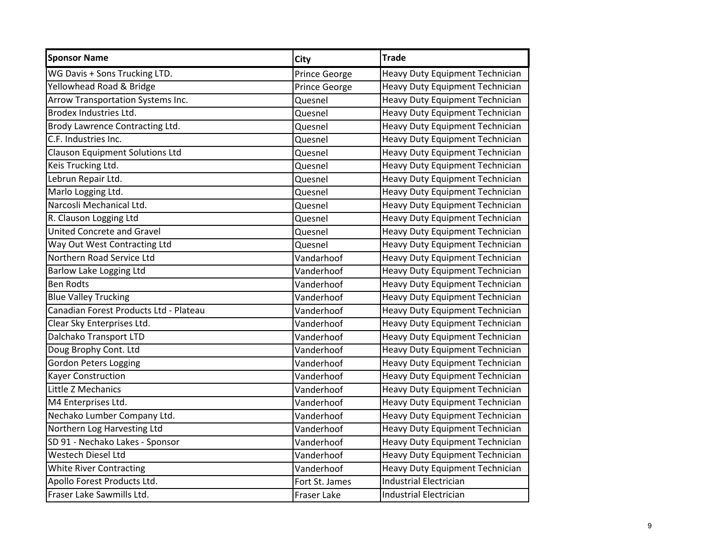| <b>Sponsor Name</b>                    | <b>City</b>        | <b>Trade</b>                           |
|----------------------------------------|--------------------|----------------------------------------|
| WG Davis + Sons Trucking LTD.          | Prince George      | Heavy Duty Equipment Technician        |
| Yellowhead Road & Bridge               | Prince George      | Heavy Duty Equipment Technician        |
| Arrow Transportation Systems Inc.      | Quesnel            | Heavy Duty Equipment Technician        |
| Brodex Industries Ltd.                 | Quesnel            | Heavy Duty Equipment Technician        |
| Brody Lawrence Contracting Ltd.        | Quesnel            | Heavy Duty Equipment Technician        |
| C.F. Industries Inc.                   | Quesnel            | Heavy Duty Equipment Technician        |
| <b>Clauson Equipment Solutions Ltd</b> | Quesnel            | Heavy Duty Equipment Technician        |
| Keis Trucking Ltd.                     | Quesnel            | Heavy Duty Equipment Technician        |
| Lebrun Repair Ltd.                     | Quesnel            | Heavy Duty Equipment Technician        |
| Marlo Logging Ltd.                     | Quesnel            | <b>Heavy Duty Equipment Technician</b> |
| Narcosli Mechanical Ltd.               | Quesnel            | Heavy Duty Equipment Technician        |
| R. Clauson Logging Ltd                 | Quesnel            | Heavy Duty Equipment Technician        |
| <b>United Concrete and Gravel</b>      | Quesnel            | Heavy Duty Equipment Technician        |
| Way Out West Contracting Ltd           | Quesnel            | Heavy Duty Equipment Technician        |
| Northern Road Service Ltd              | Vandarhoof         | Heavy Duty Equipment Technician        |
| Barlow Lake Logging Ltd                | Vanderhoof         | Heavy Duty Equipment Technician        |
| <b>Ben Rodts</b>                       | Vanderhoof         | Heavy Duty Equipment Technician        |
| <b>Blue Valley Trucking</b>            | Vanderhoof         | Heavy Duty Equipment Technician        |
| Canadian Forest Products Ltd - Plateau | Vanderhoof         | Heavy Duty Equipment Technician        |
| Clear Sky Enterprises Ltd.             | Vanderhoof         | Heavy Duty Equipment Technician        |
| Dalchako Transport LTD                 | Vanderhoof         | Heavy Duty Equipment Technician        |
| Doug Brophy Cont. Ltd                  | Vanderhoof         | Heavy Duty Equipment Technician        |
| <b>Gordon Peters Logging</b>           | Vanderhoof         | Heavy Duty Equipment Technician        |
| <b>Kayer Construction</b>              | Vanderhoof         | Heavy Duty Equipment Technician        |
| Little Z Mechanics                     | Vanderhoof         | Heavy Duty Equipment Technician        |
| M4 Enterprises Ltd.                    | Vanderhoof         | Heavy Duty Equipment Technician        |
| Nechako Lumber Company Ltd.            | Vanderhoof         | Heavy Duty Equipment Technician        |
| Northern Log Harvesting Ltd            | Vanderhoof         | <b>Heavy Duty Equipment Technician</b> |
| SD 91 - Nechako Lakes - Sponsor        | Vanderhoof         | <b>Heavy Duty Equipment Technician</b> |
| Westech Diesel Ltd                     | Vanderhoof         | Heavy Duty Equipment Technician        |
| <b>White River Contracting</b>         | Vanderhoof         | Heavy Duty Equipment Technician        |
| Apollo Forest Products Ltd.            | Fort St. James     | <b>Industrial Electrician</b>          |
| Fraser Lake Sawmills Ltd.              | <b>Fraser Lake</b> | <b>Industrial Electrician</b>          |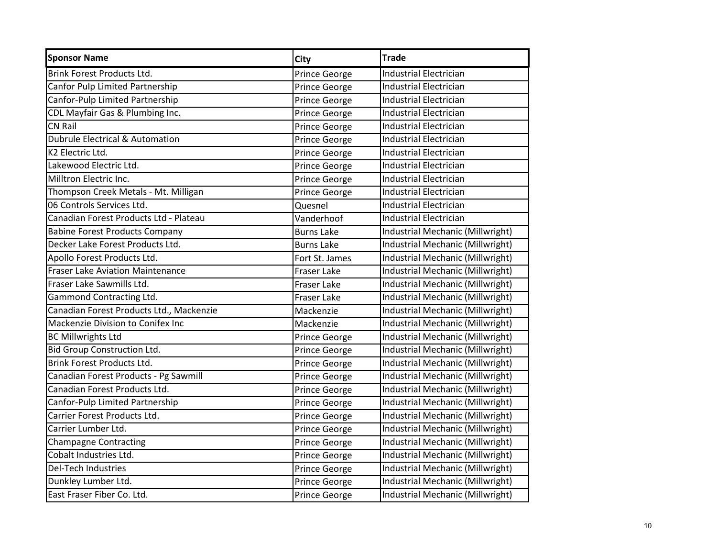| <b>Sponsor Name</b>                      | <b>City</b>        | <b>Trade</b>                     |
|------------------------------------------|--------------------|----------------------------------|
| <b>Brink Forest Products Ltd.</b>        | Prince George      | <b>Industrial Electrician</b>    |
| Canfor Pulp Limited Partnership          | Prince George      | <b>Industrial Electrician</b>    |
| Canfor-Pulp Limited Partnership          | Prince George      | <b>Industrial Electrician</b>    |
| CDL Mayfair Gas & Plumbing Inc.          | Prince George      | <b>Industrial Electrician</b>    |
| CN Rail                                  | Prince George      | <b>Industrial Electrician</b>    |
| Dubrule Electrical & Automation          | Prince George      | <b>Industrial Electrician</b>    |
| K2 Electric Ltd.                         | Prince George      | <b>Industrial Electrician</b>    |
| Lakewood Electric Ltd.                   | Prince George      | <b>Industrial Electrician</b>    |
| Milltron Electric Inc.                   | Prince George      | <b>Industrial Electrician</b>    |
| Thompson Creek Metals - Mt. Milligan     | Prince George      | <b>Industrial Electrician</b>    |
| 06 Controls Services Ltd.                | Quesnel            | <b>Industrial Electrician</b>    |
| Canadian Forest Products Ltd - Plateau   | Vanderhoof         | <b>Industrial Electrician</b>    |
| <b>Babine Forest Products Company</b>    | <b>Burns Lake</b>  | Industrial Mechanic (Millwright) |
| Decker Lake Forest Products Ltd.         | <b>Burns Lake</b>  | Industrial Mechanic (Millwright) |
| Apollo Forest Products Ltd.              | Fort St. James     | Industrial Mechanic (Millwright) |
| <b>Fraser Lake Aviation Maintenance</b>  | <b>Fraser Lake</b> | Industrial Mechanic (Millwright) |
| Fraser Lake Sawmills Ltd.                | <b>Fraser Lake</b> | Industrial Mechanic (Millwright) |
| Gammond Contracting Ltd.                 | <b>Fraser Lake</b> | Industrial Mechanic (Millwright) |
| Canadian Forest Products Ltd., Mackenzie | Mackenzie          | Industrial Mechanic (Millwright) |
| Mackenzie Division to Conifex Inc        | Mackenzie          | Industrial Mechanic (Millwright) |
| <b>BC Millwrights Ltd</b>                | Prince George      | Industrial Mechanic (Millwright) |
| <b>Bid Group Construction Ltd.</b>       | Prince George      | Industrial Mechanic (Millwright) |
| <b>Brink Forest Products Ltd.</b>        | Prince George      | Industrial Mechanic (Millwright) |
| Canadian Forest Products - Pg Sawmill    | Prince George      | Industrial Mechanic (Millwright) |
| Canadian Forest Products Ltd.            | Prince George      | Industrial Mechanic (Millwright) |
| Canfor-Pulp Limited Partnership          | Prince George      | Industrial Mechanic (Millwright) |
| Carrier Forest Products Ltd.             | Prince George      | Industrial Mechanic (Millwright) |
| Carrier Lumber Ltd.                      | Prince George      | Industrial Mechanic (Millwright) |
| <b>Champagne Contracting</b>             | Prince George      | Industrial Mechanic (Millwright) |
| Cobalt Industries Ltd.                   | Prince George      | Industrial Mechanic (Millwright) |
| <b>Del-Tech Industries</b>               | Prince George      | Industrial Mechanic (Millwright) |
| Dunkley Lumber Ltd.                      | Prince George      | Industrial Mechanic (Millwright) |
| East Fraser Fiber Co. Ltd.               | Prince George      | Industrial Mechanic (Millwright) |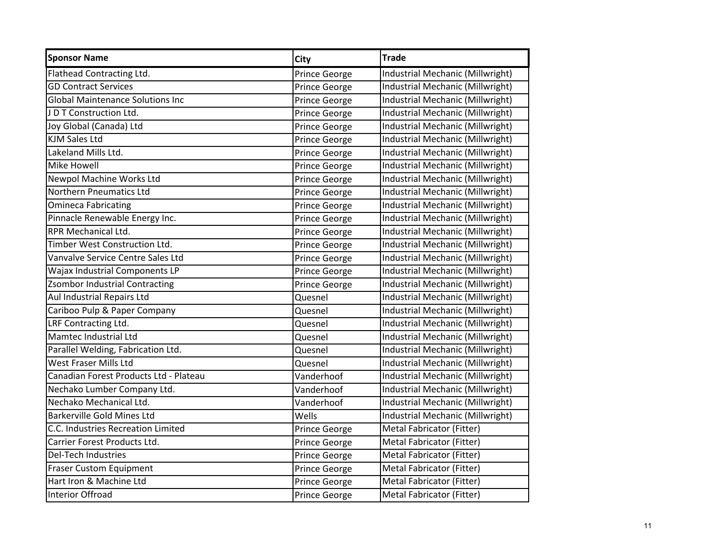| <b>Sponsor Name</b>                     | City                 | <b>Trade</b>                     |
|-----------------------------------------|----------------------|----------------------------------|
| Flathead Contracting Ltd.               | <b>Prince George</b> | Industrial Mechanic (Millwright) |
| <b>GD Contract Services</b>             | Prince George        | Industrial Mechanic (Millwright) |
| <b>Global Maintenance Solutions Inc</b> | Prince George        | Industrial Mechanic (Millwright) |
| J D T Construction Ltd.                 | <b>Prince George</b> | Industrial Mechanic (Millwright) |
| Joy Global (Canada) Ltd                 | Prince George        | Industrial Mechanic (Millwright) |
| <b>KJM Sales Ltd</b>                    | Prince George        | Industrial Mechanic (Millwright) |
| Lakeland Mills Ltd.                     | <b>Prince George</b> | Industrial Mechanic (Millwright) |
| <b>Mike Howell</b>                      | Prince George        | Industrial Mechanic (Millwright) |
| Newpol Machine Works Ltd                | Prince George        | Industrial Mechanic (Millwright) |
| <b>Northern Pneumatics Ltd</b>          | <b>Prince George</b> | Industrial Mechanic (Millwright) |
| <b>Omineca Fabricating</b>              | Prince George        | Industrial Mechanic (Millwright) |
| Pinnacle Renewable Energy Inc.          | Prince George        | Industrial Mechanic (Millwright) |
| <b>RPR Mechanical Ltd.</b>              | Prince George        | Industrial Mechanic (Millwright) |
| Timber West Construction Ltd.           | Prince George        | Industrial Mechanic (Millwright) |
| Vanvalve Service Centre Sales Ltd       | Prince George        | Industrial Mechanic (Millwright) |
| Wajax Industrial Components LP          | <b>Prince George</b> | Industrial Mechanic (Millwright) |
| <b>Zsombor Industrial Contracting</b>   | Prince George        | Industrial Mechanic (Millwright) |
| Aul Industrial Repairs Ltd              | Quesnel              | Industrial Mechanic (Millwright) |
| Cariboo Pulp & Paper Company            | Quesnel              | Industrial Mechanic (Millwright) |
| LRF Contracting Ltd.                    | Quesnel              | Industrial Mechanic (Millwright) |
| <b>Mamtec Industrial Ltd</b>            | Quesnel              | Industrial Mechanic (Millwright) |
| Parallel Welding, Fabrication Ltd.      | Quesnel              | Industrial Mechanic (Millwright) |
| West Fraser Mills Ltd                   | Quesnel              | Industrial Mechanic (Millwright) |
| Canadian Forest Products Ltd - Plateau  | Vanderhoof           | Industrial Mechanic (Millwright) |
| Nechako Lumber Company Ltd.             | Vanderhoof           | Industrial Mechanic (Millwright) |
| Nechako Mechanical Ltd.                 | Vanderhoof           | Industrial Mechanic (Millwright) |
| <b>Barkerville Gold Mines Ltd</b>       | Wells                | Industrial Mechanic (Millwright) |
| C.C. Industries Recreation Limited      | Prince George        | Metal Fabricator (Fitter)        |
| Carrier Forest Products Ltd.            | Prince George        | Metal Fabricator (Fitter)        |
| <b>Del-Tech Industries</b>              | Prince George        | Metal Fabricator (Fitter)        |
| <b>Fraser Custom Equipment</b>          | Prince George        | Metal Fabricator (Fitter)        |
| Hart Iron & Machine Ltd                 | Prince George        | Metal Fabricator (Fitter)        |
| Interior Offroad                        | <b>Prince George</b> | Metal Fabricator (Fitter)        |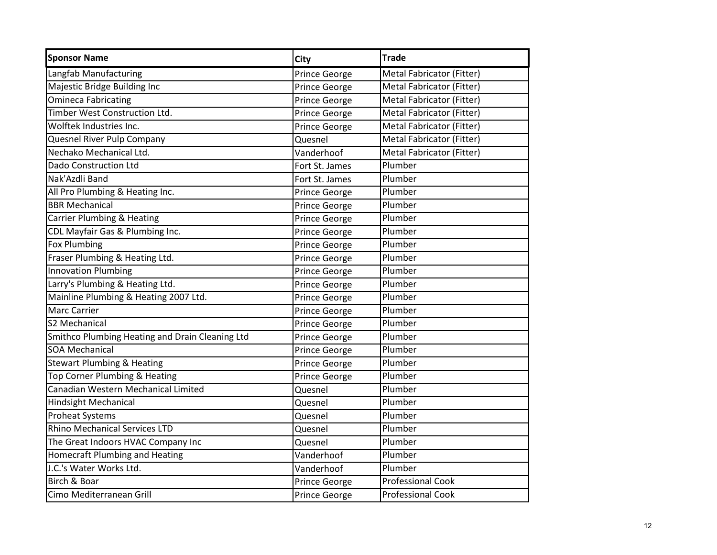| <b>Sponsor Name</b>                             | <b>City</b>    | <b>Trade</b>              |
|-------------------------------------------------|----------------|---------------------------|
| Langfab Manufacturing                           | Prince George  | Metal Fabricator (Fitter) |
| Majestic Bridge Building Inc                    | Prince George  | Metal Fabricator (Fitter) |
| <b>Omineca Fabricating</b>                      | Prince George  | Metal Fabricator (Fitter) |
| Timber West Construction Ltd.                   | Prince George  | Metal Fabricator (Fitter) |
| Wolftek Industries Inc.                         | Prince George  | Metal Fabricator (Fitter) |
| Quesnel River Pulp Company                      | Quesnel        | Metal Fabricator (Fitter) |
| Nechako Mechanical Ltd.                         | Vanderhoof     | Metal Fabricator (Fitter) |
| <b>Dado Construction Ltd</b>                    | Fort St. James | Plumber                   |
| Nak'Azdli Band                                  | Fort St. James | Plumber                   |
| All Pro Plumbing & Heating Inc.                 | Prince George  | Plumber                   |
| <b>BBR Mechanical</b>                           | Prince George  | Plumber                   |
| <b>Carrier Plumbing &amp; Heating</b>           | Prince George  | Plumber                   |
| CDL Mayfair Gas & Plumbing Inc.                 | Prince George  | Plumber                   |
| <b>Fox Plumbing</b>                             | Prince George  | Plumber                   |
| Fraser Plumbing & Heating Ltd.                  | Prince George  | Plumber                   |
| <b>Innovation Plumbing</b>                      | Prince George  | Plumber                   |
| Larry's Plumbing & Heating Ltd.                 | Prince George  | Plumber                   |
| Mainline Plumbing & Heating 2007 Ltd.           | Prince George  | Plumber                   |
| <b>Marc Carrier</b>                             | Prince George  | Plumber                   |
| S2 Mechanical                                   | Prince George  | Plumber                   |
| Smithco Plumbing Heating and Drain Cleaning Ltd | Prince George  | Plumber                   |
| <b>SOA Mechanical</b>                           | Prince George  | Plumber                   |
| <b>Stewart Plumbing &amp; Heating</b>           | Prince George  | Plumber                   |
| <b>Top Corner Plumbing &amp; Heating</b>        | Prince George  | Plumber                   |
| Canadian Western Mechanical Limited             | Quesnel        | Plumber                   |
| <b>Hindsight Mechanical</b>                     | Quesnel        | Plumber                   |
| <b>Proheat Systems</b>                          | Quesnel        | Plumber                   |
| <b>Rhino Mechanical Services LTD</b>            | Quesnel        | Plumber                   |
| The Great Indoors HVAC Company Inc              | Quesnel        | Plumber                   |
| <b>Homecraft Plumbing and Heating</b>           | Vanderhoof     | Plumber                   |
| J.C.'s Water Works Ltd.                         | Vanderhoof     | Plumber                   |
| Birch & Boar                                    | Prince George  | <b>Professional Cook</b>  |
| Cimo Mediterranean Grill                        | Prince George  | <b>Professional Cook</b>  |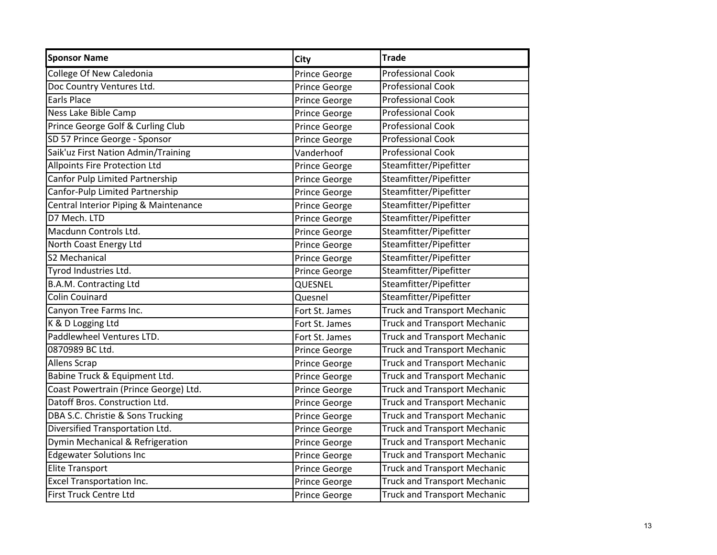| <b>Sponsor Name</b>                   | <b>City</b>          | <b>Trade</b>                        |
|---------------------------------------|----------------------|-------------------------------------|
| College Of New Caledonia              | Prince George        | <b>Professional Cook</b>            |
| Doc Country Ventures Ltd.             | Prince George        | <b>Professional Cook</b>            |
| Earls Place                           | Prince George        | <b>Professional Cook</b>            |
| Ness Lake Bible Camp                  | Prince George        | <b>Professional Cook</b>            |
| Prince George Golf & Curling Club     | Prince George        | <b>Professional Cook</b>            |
| SD 57 Prince George - Sponsor         | Prince George        | <b>Professional Cook</b>            |
| Saik'uz First Nation Admin/Training   | Vanderhoof           | <b>Professional Cook</b>            |
| Allpoints Fire Protection Ltd         | Prince George        | Steamfitter/Pipefitter              |
| Canfor Pulp Limited Partnership       | Prince George        | Steamfitter/Pipefitter              |
| Canfor-Pulp Limited Partnership       | <b>Prince George</b> | Steamfitter/Pipefitter              |
| Central Interior Piping & Maintenance | Prince George        | Steamfitter/Pipefitter              |
| D7 Mech. LTD                          | Prince George        | Steamfitter/Pipefitter              |
| Macdunn Controls Ltd.                 | Prince George        | Steamfitter/Pipefitter              |
| North Coast Energy Ltd                | Prince George        | Steamfitter/Pipefitter              |
| S2 Mechanical                         | Prince George        | Steamfitter/Pipefitter              |
| Tyrod Industries Ltd.                 | Prince George        | Steamfitter/Pipefitter              |
| <b>B.A.M. Contracting Ltd</b>         | QUESNEL              | Steamfitter/Pipefitter              |
| <b>Colin Couinard</b>                 | Quesnel              | Steamfitter/Pipefitter              |
| Canyon Tree Farms Inc.                | Fort St. James       | <b>Truck and Transport Mechanic</b> |
| K & D Logging Ltd                     | Fort St. James       | <b>Truck and Transport Mechanic</b> |
| Paddlewheel Ventures LTD.             | Fort St. James       | <b>Truck and Transport Mechanic</b> |
| 0870989 BC Ltd.                       | Prince George        | <b>Truck and Transport Mechanic</b> |
| <b>Allens Scrap</b>                   | Prince George        | <b>Truck and Transport Mechanic</b> |
| Babine Truck & Equipment Ltd.         | Prince George        | <b>Truck and Transport Mechanic</b> |
| Coast Powertrain (Prince George) Ltd. | Prince George        | <b>Truck and Transport Mechanic</b> |
| Datoff Bros. Construction Ltd.        | Prince George        | <b>Truck and Transport Mechanic</b> |
| DBA S.C. Christie & Sons Trucking     | Prince George        | <b>Truck and Transport Mechanic</b> |
| Diversified Transportation Ltd.       | Prince George        | <b>Truck and Transport Mechanic</b> |
| Dymin Mechanical & Refrigeration      | Prince George        | <b>Truck and Transport Mechanic</b> |
| <b>Edgewater Solutions Inc</b>        | Prince George        | <b>Truck and Transport Mechanic</b> |
| <b>Elite Transport</b>                | Prince George        | <b>Truck and Transport Mechanic</b> |
| <b>Excel Transportation Inc.</b>      | Prince George        | <b>Truck and Transport Mechanic</b> |
| <b>First Truck Centre Ltd</b>         | Prince George        | <b>Truck and Transport Mechanic</b> |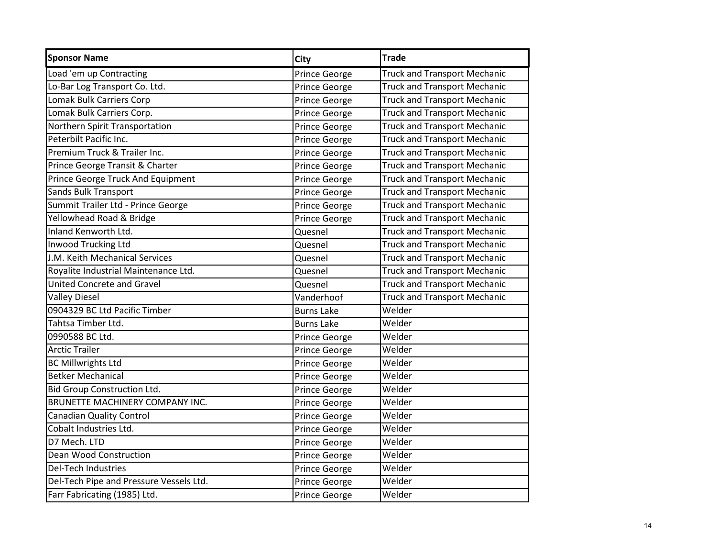| <b>Sponsor Name</b>                     | <b>City</b>       | <b>Trade</b>                        |
|-----------------------------------------|-------------------|-------------------------------------|
| Load 'em up Contracting                 | Prince George     | <b>Truck and Transport Mechanic</b> |
| Lo-Bar Log Transport Co. Ltd.           | Prince George     | <b>Truck and Transport Mechanic</b> |
| <b>Lomak Bulk Carriers Corp</b>         | Prince George     | <b>Truck and Transport Mechanic</b> |
| Lomak Bulk Carriers Corp.               | Prince George     | <b>Truck and Transport Mechanic</b> |
| Northern Spirit Transportation          | Prince George     | <b>Truck and Transport Mechanic</b> |
| Peterbilt Pacific Inc.                  | Prince George     | <b>Truck and Transport Mechanic</b> |
| Premium Truck & Trailer Inc.            | Prince George     | <b>Truck and Transport Mechanic</b> |
| Prince George Transit & Charter         | Prince George     | <b>Truck and Transport Mechanic</b> |
| Prince George Truck And Equipment       | Prince George     | <b>Truck and Transport Mechanic</b> |
| <b>Sands Bulk Transport</b>             | Prince George     | <b>Truck and Transport Mechanic</b> |
| Summit Trailer Ltd - Prince George      | Prince George     | <b>Truck and Transport Mechanic</b> |
| Yellowhead Road & Bridge                | Prince George     | <b>Truck and Transport Mechanic</b> |
| Inland Kenworth Ltd.                    | Quesnel           | <b>Truck and Transport Mechanic</b> |
| Inwood Trucking Ltd                     | Quesnel           | <b>Truck and Transport Mechanic</b> |
| J.M. Keith Mechanical Services          | Quesnel           | <b>Truck and Transport Mechanic</b> |
| Royalite Industrial Maintenance Ltd.    | Quesnel           | <b>Truck and Transport Mechanic</b> |
| <b>United Concrete and Gravel</b>       | Quesnel           | <b>Truck and Transport Mechanic</b> |
| <b>Valley Diesel</b>                    | Vanderhoof        | <b>Truck and Transport Mechanic</b> |
| 0904329 BC Ltd Pacific Timber           | <b>Burns Lake</b> | Welder                              |
| Tahtsa Timber Ltd.                      | <b>Burns Lake</b> | Welder                              |
| 0990588 BC Ltd.                         | Prince George     | Welder                              |
| <b>Arctic Trailer</b>                   | Prince George     | Welder                              |
| <b>BC Millwrights Ltd</b>               | Prince George     | Welder                              |
| <b>Betker Mechanical</b>                | Prince George     | Welder                              |
| <b>Bid Group Construction Ltd.</b>      | Prince George     | Welder                              |
| BRUNETTE MACHINERY COMPANY INC.         | Prince George     | Welder                              |
| <b>Canadian Quality Control</b>         | Prince George     | Welder                              |
| Cobalt Industries Ltd.                  | Prince George     | Welder                              |
| D7 Mech. LTD                            | Prince George     | Welder                              |
| Dean Wood Construction                  | Prince George     | Welder                              |
| <b>Del-Tech Industries</b>              | Prince George     | Welder                              |
| Del-Tech Pipe and Pressure Vessels Ltd. | Prince George     | Welder                              |
| Farr Fabricating (1985) Ltd.            | Prince George     | Welder                              |